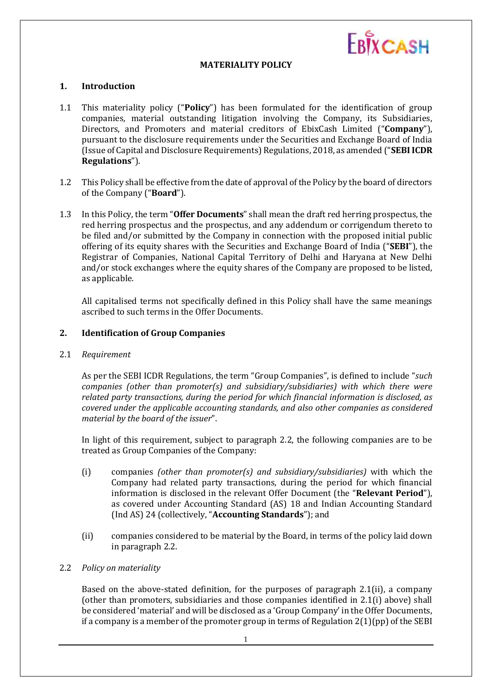

## **MATERIALITY POLICY**

#### **1. Introduction**

- 1.1 This materiality policy ("**Policy**") has been formulated for the identification of group companies, material outstanding litigation involving the Company, its Subsidiaries, Directors, and Promoters and material creditors of EbixCash Limited ("**Company**"), pursuant to the disclosure requirements under the Securities and Exchange Board of India (Issue of Capital and Disclosure Requirements) Regulations, 2018, as amended ("**SEBI ICDR Regulations**").
- 1.2 This Policy shall be effective from the date of approval of the Policy by the board of directors of the Company ("**Board**").
- 1.3 In this Policy, the term "**Offer Documents**" shall mean the draft red herring prospectus, the red herring prospectus and the prospectus, and any addendum or corrigendum thereto to be filed and/or submitted by the Company in connection with the proposed initial public offering of its equity shares with the Securities and Exchange Board of India ("**SEBI**"), the Registrar of Companies, National Capital Territory of Delhi and Haryana at New Delhi and/or stock exchanges where the equity shares of the Company are proposed to be listed, as applicable.

All capitalised terms not specifically defined in this Policy shall have the same meanings ascribed to such terms in the Offer Documents.

#### **2. Identification of Group Companies**

2.1 *Requirement*

As per the SEBI ICDR Regulations, the term "Group Companies", is defined to include "*such companies (other than promoter(s) and subsidiary/subsidiaries) with which there were related party transactions, during the period for which financial information is disclosed, as covered under the applicable accounting standards, and also other companies as considered material by the board of the issuer*".

In light of this requirement, subject to paragraph 2.2, the following companies are to be treated as Group Companies of the Company:

- (i) companies *(other than promoter(s) and subsidiary/subsidiaries)* with which the Company had related party transactions, during the period for which financial information is disclosed in the relevant Offer Document (the "**Relevant Period**"), as covered under Accounting Standard (AS) 18 and Indian Accounting Standard (Ind AS) 24 (collectively, "**Accounting Standards**"); and
- (ii) companies considered to be material by the Board, in terms of the policy laid down in paragraph 2.2.
- 2.2 *Policy on materiality*

Based on the above-stated definition, for the purposes of paragraph 2.1(ii), a company (other than promoters, subsidiaries and those companies identified in 2.1(i) above) shall be considered 'material' and will be disclosed as a 'Group Company' in the Offer Documents, if a company is a member of the promoter group in terms of Regulation 2(1)(pp) of the SEBI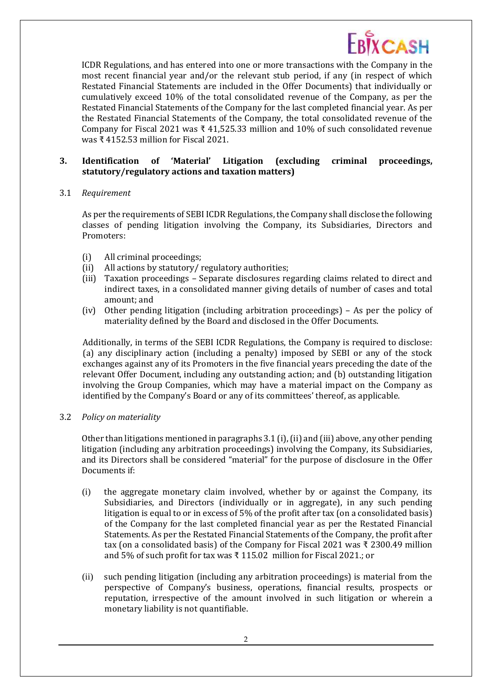

ICDR Regulations, and has entered into one or more transactions with the Company in the most recent financial year and/or the relevant stub period, if any (in respect of which Restated Financial Statements are included in the Offer Documents) that individually or cumulatively exceed 10% of the total consolidated revenue of the Company, as per the Restated Financial Statements of the Company for the last completed financial year. As per the Restated Financial Statements of the Company, the total consolidated revenue of the Company for Fiscal 2021 was ₹ 41,525.33 million and 10% of such consolidated revenue was ₹ 4152.53 million for Fiscal 2021.

# **3. Identification of 'Material' Litigation (excluding criminal proceedings, statutory/regulatory actions and taxation matters)**

## 3.1 *Requirement*

As per the requirements of SEBI ICDR Regulations, the Company shall disclose the following classes of pending litigation involving the Company, its Subsidiaries, Directors and Promoters:

- (i) All criminal proceedings;
- (ii) All actions by statutory/ regulatory authorities;
- (iii) Taxation proceedings Separate disclosures regarding claims related to direct and indirect taxes, in a consolidated manner giving details of number of cases and total amount; and
- (iv) Other pending litigation (including arbitration proceedings) As per the policy of materiality defined by the Board and disclosed in the Offer Documents.

Additionally, in terms of the SEBI ICDR Regulations, the Company is required to disclose: (a) any disciplinary action (including a penalty) imposed by SEBI or any of the stock exchanges against any of its Promoters in the five financial years preceding the date of the relevant Offer Document, including any outstanding action; and (b) outstanding litigation involving the Group Companies, which may have a material impact on the Company as identified by the Company's Board or any of its committees' thereof, as applicable.

## 3.2 *Policy on materiality*

Other than litigations mentioned in paragraphs 3.1 (i), (ii) and (iii) above, any other pending litigation (including any arbitration proceedings) involving the Company, its Subsidiaries, and its Directors shall be considered "material" for the purpose of disclosure in the Offer Documents if:

- (i) the aggregate monetary claim involved, whether by or against the Company, its Subsidiaries, and Directors (individually or in aggregate), in any such pending litigation is equal to or in excess of 5% of the profit after tax (on a consolidated basis) of the Company for the last completed financial year as per the Restated Financial Statements. As per the Restated Financial Statements of the Company, the profit after tax (on a consolidated basis) of the Company for Fiscal 2021 was ₹ 2300.49 million and 5% of such profit for tax was ₹ 115.02 million for Fiscal 2021.; or
- (ii) such pending litigation (including any arbitration proceedings) is material from the perspective of Company's business, operations, financial results, prospects or reputation, irrespective of the amount involved in such litigation or wherein a monetary liability is not quantifiable.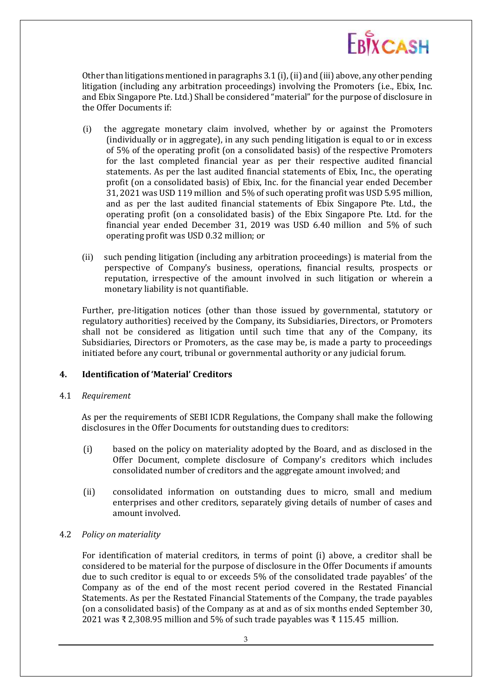

Other than litigations mentioned in paragraphs 3.1 (i), (ii) and (iii) above, any other pending litigation (including any arbitration proceedings) involving the Promoters (i.e., Ebix, Inc. and Ebix Singapore Pte. Ltd.) Shall be considered "material" for the purpose of disclosure in the Offer Documents if:

- (i) the aggregate monetary claim involved, whether by or against the Promoters (individually or in aggregate), in any such pending litigation is equal to or in excess of 5% of the operating profit (on a consolidated basis) of the respective Promoters for the last completed financial year as per their respective audited financial statements. As per the last audited financial statements of Ebix, Inc., the operating profit (on a consolidated basis) of Ebix, Inc. for the financial year ended December 31, 2021 was USD 119 million and 5% of such operating profit was USD 5.95 million, and as per the last audited financial statements of Ebix Singapore Pte. Ltd., the operating profit (on a consolidated basis) of the Ebix Singapore Pte. Ltd. for the financial year ended December 31, 2019 was USD 6.40 million and 5% of such operating profit was USD 0.32 million; or
- (ii) such pending litigation (including any arbitration proceedings) is material from the perspective of Company's business, operations, financial results, prospects or reputation, irrespective of the amount involved in such litigation or wherein a monetary liability is not quantifiable.

Further, pre-litigation notices (other than those issued by governmental, statutory or regulatory authorities) received by the Company, its Subsidiaries, Directors, or Promoters shall not be considered as litigation until such time that any of the Company, its Subsidiaries, Directors or Promoters, as the case may be, is made a party to proceedings initiated before any court, tribunal or governmental authority or any judicial forum.

## **4. Identification of 'Material' Creditors**

#### 4.1 *Requirement*

As per the requirements of SEBI ICDR Regulations, the Company shall make the following disclosures in the Offer Documents for outstanding dues to creditors:

- (i) based on the policy on materiality adopted by the Board, and as disclosed in the Offer Document, complete disclosure of Company's creditors which includes consolidated number of creditors and the aggregate amount involved; and
- (ii) consolidated information on outstanding dues to micro, small and medium enterprises and other creditors, separately giving details of number of cases and amount involved.

#### 4.2 *Policy on materiality*

For identification of material creditors, in terms of point (i) above, a creditor shall be considered to be material for the purpose of disclosure in the Offer Documents if amounts due to such creditor is equal to or exceeds 5% of the consolidated trade payables' of the Company as of the end of the most recent period covered in the Restated Financial Statements. As per the Restated Financial Statements of the Company, the trade payables (on a consolidated basis) of the Company as at and as of six months ended September 30, 2021 was ₹ 2,308.95 million and 5% of such trade payables was ₹ 115.45 million.